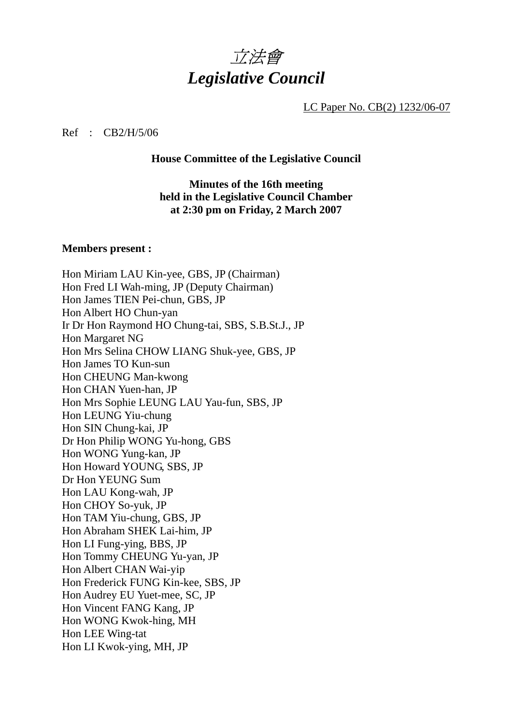

LC Paper No. CB(2) 1232/06-07

#### Ref : CB2/H/5/06

#### **House Committee of the Legislative Council**

**Minutes of the 16th meeting held in the Legislative Council Chamber at 2:30 pm on Friday, 2 March 2007** 

#### **Members present :**

Hon Miriam LAU Kin-yee, GBS, JP (Chairman) Hon Fred LI Wah-ming, JP (Deputy Chairman) Hon James TIEN Pei-chun, GBS, JP Hon Albert HO Chun-yan Ir Dr Hon Raymond HO Chung-tai, SBS, S.B.St.J., JP Hon Margaret NG Hon Mrs Selina CHOW LIANG Shuk-yee, GBS, JP Hon James TO Kun-sun Hon CHEUNG Man-kwong Hon CHAN Yuen-han, JP Hon Mrs Sophie LEUNG LAU Yau-fun, SBS, JP Hon LEUNG Yiu-chung Hon SIN Chung-kai, JP Dr Hon Philip WONG Yu-hong, GBS Hon WONG Yung-kan, JP Hon Howard YOUNG, SBS, JP Dr Hon YEUNG Sum Hon LAU Kong-wah, JP Hon CHOY So-yuk, JP Hon TAM Yiu-chung, GBS, JP Hon Abraham SHEK Lai-him, JP Hon LI Fung-ying, BBS, JP Hon Tommy CHEUNG Yu-yan, JP Hon Albert CHAN Wai-yip Hon Frederick FUNG Kin-kee, SBS, JP Hon Audrey EU Yuet-mee, SC, JP Hon Vincent FANG Kang, JP Hon WONG Kwok-hing, MH Hon LEE Wing-tat Hon LI Kwok-ying, MH, JP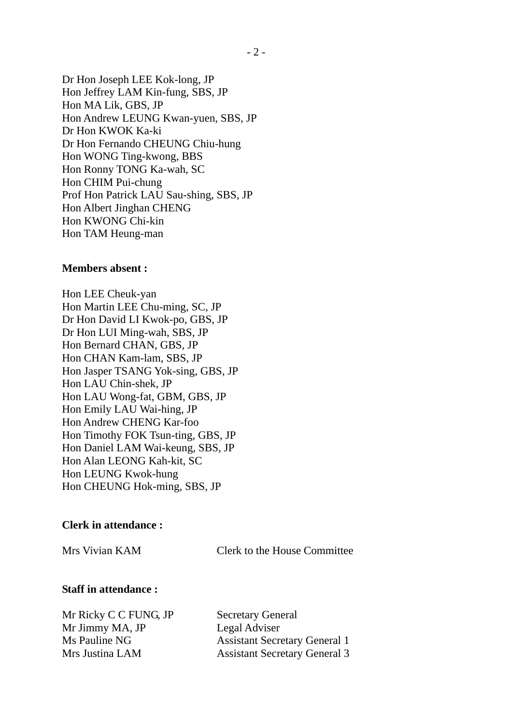Dr Hon Joseph LEE Kok-long, JP Hon Jeffrey LAM Kin-fung, SBS, JP Hon MA Lik, GBS, JP Hon Andrew LEUNG Kwan-yuen, SBS, JP Dr Hon KWOK Ka-ki Dr Hon Fernando CHEUNG Chiu-hung Hon WONG Ting-kwong, BBS Hon Ronny TONG Ka-wah, SC Hon CHIM Pui-chung Prof Hon Patrick LAU Sau-shing, SBS, JP Hon Albert Jinghan CHENG Hon KWONG Chi-kin Hon TAM Heung-man

#### **Members absent :**

Hon LEE Cheuk-yan Hon Martin LEE Chu-ming, SC, JP Dr Hon David LI Kwok-po, GBS, JP Dr Hon LUI Ming-wah, SBS, JP Hon Bernard CHAN, GBS, JP Hon CHAN Kam-lam, SBS, JP Hon Jasper TSANG Yok-sing, GBS, JP Hon LAU Chin-shek, JP Hon LAU Wong-fat, GBM, GBS, JP Hon Emily LAU Wai-hing, JP Hon Andrew CHENG Kar-foo Hon Timothy FOK Tsun-ting, GBS, JP Hon Daniel LAM Wai-keung, SBS, JP Hon Alan LEONG Kah-kit, SC Hon LEUNG Kwok-hung Hon CHEUNG Hok-ming, SBS, JP

#### **Clerk in attendance :**

Mrs Vivian KAM Clerk to the House Committee

#### **Staff in attendance :**

Mr Ricky C C FUNG, JP Secretary General Mr Jimmy MA, JP Legal Adviser

Ms Pauline NG Assistant Secretary General 1 Mrs Justina LAM Assistant Secretary General 3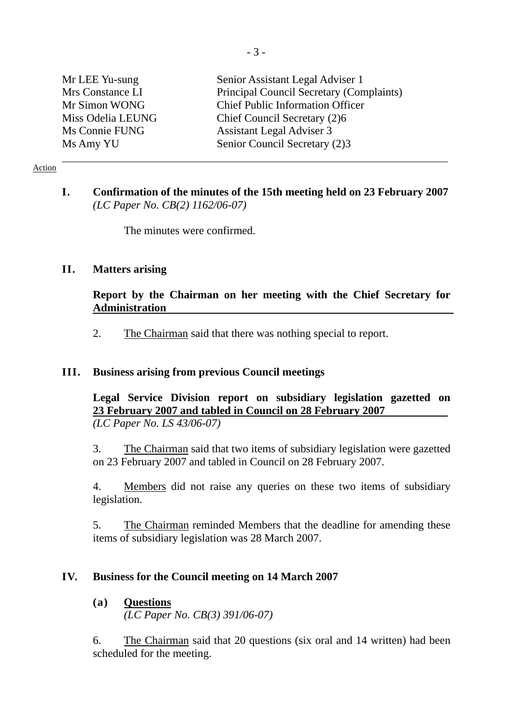| Mr LEE Yu-sung    | Senior Assistant Legal Adviser 1         |
|-------------------|------------------------------------------|
| Mrs Constance LI  | Principal Council Secretary (Complaints) |
| Mr Simon WONG     | <b>Chief Public Information Officer</b>  |
| Miss Odelia LEUNG | Chief Council Secretary (2)6             |
| Ms Connie FUNG    | <b>Assistant Legal Adviser 3</b>         |
| Ms Amy YU         | Senior Council Secretary (2)3            |

#### Action

# **I. Confirmation of the minutes of the 15th meeting held on 23 February 2007**  *(LC Paper No. CB(2) 1162/06-07)*

The minutes were confirmed.

## **II. Matters arising**

# **Report by the Chairman on her meeting with the Chief Secretary for Administration**

2. The Chairman said that there was nothing special to report.

## **III. Business arising from previous Council meetings**

**Legal Service Division report on subsidiary legislation gazetted on 23 February 2007 and tabled in Council on 28 February 2007** *(LC Paper No. LS 43/06-07)* 

3. The Chairman said that two items of subsidiary legislation were gazetted on 23 February 2007 and tabled in Council on 28 February 2007.

4. Members did not raise any queries on these two items of subsidiary legislation.

5. The Chairman reminded Members that the deadline for amending these items of subsidiary legislation was 28 March 2007.

## **IV. Business for the Council meeting on 14 March 2007**

# **(a) Questions**

*(LC Paper No. CB(3) 391/06-07)* 

6. The Chairman said that 20 questions (six oral and 14 written) had been scheduled for the meeting.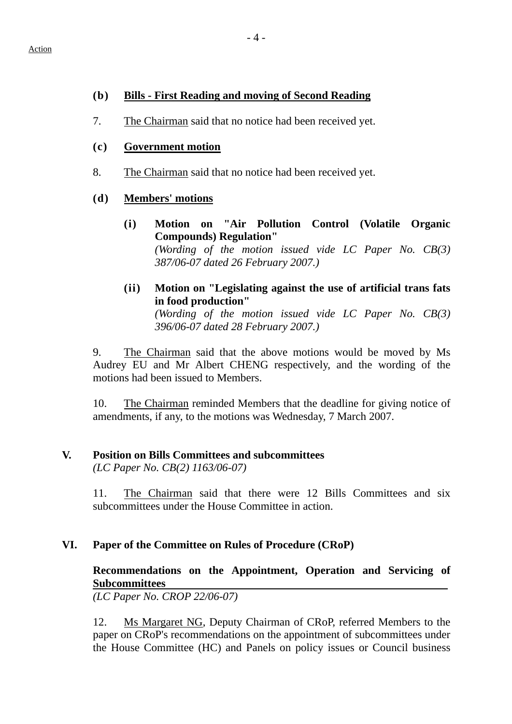## **(b) Bills - First Reading and moving of Second Reading**

7. The Chairman said that no notice had been received yet.

## **(c) Government motion**

8. The Chairman said that no notice had been received yet.

## **(d) Members' motions**

- **(i) Motion on "Air Pollution Control (Volatile Organic Compounds) Regulation"** *(Wording of the motion issued vide LC Paper No. CB(3) 387/06-07 dated 26 February 2007.)*
- **(ii) Motion on "Legislating against the use of artificial trans fats in food production"** *(Wording of the motion issued vide LC Paper No. CB(3) 396/06-07 dated 28 February 2007.)*

9. The Chairman said that the above motions would be moved by Ms Audrey EU and Mr Albert CHENG respectively, and the wording of the motions had been issued to Members.

10. The Chairman reminded Members that the deadline for giving notice of amendments, if any, to the motions was Wednesday, 7 March 2007.

# **V. Position on Bills Committees and subcommittees**

*(LC Paper No. CB(2) 1163/06-07)* 

11. The Chairman said that there were 12 Bills Committees and six subcommittees under the House Committee in action.

# **VI. Paper of the Committee on Rules of Procedure (CRoP)**

# **Recommendations on the Appointment, Operation and Servicing of Subcommittees**

*(LC Paper No. CROP 22/06-07)* 

12. Ms Margaret NG, Deputy Chairman of CRoP, referred Members to the paper on CRoP's recommendations on the appointment of subcommittees under the House Committee (HC) and Panels on policy issues or Council business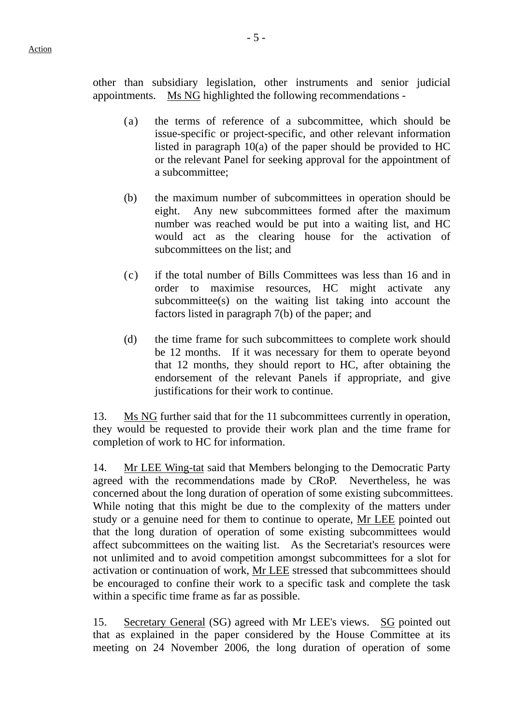other than subsidiary legislation, other instruments and senior judicial appointments. Ms NG highlighted the following recommendations -

- (a) the terms of reference of a subcommittee, which should be issue-specific or project-specific, and other relevant information listed in paragraph 10(a) of the paper should be provided to HC or the relevant Panel for seeking approval for the appointment of a subcommittee;
- (b) the maximum number of subcommittees in operation should be eight. Any new subcommittees formed after the maximum number was reached would be put into a waiting list, and HC would act as the clearing house for the activation of subcommittees on the list; and
- (c) if the total number of Bills Committees was less than 16 and in order to maximise resources, HC might activate any subcommittee(s) on the waiting list taking into account the factors listed in paragraph 7(b) of the paper; and
- (d) the time frame for such subcommittees to complete work should be 12 months. If it was necessary for them to operate beyond that 12 months, they should report to HC, after obtaining the endorsement of the relevant Panels if appropriate, and give justifications for their work to continue.

13. Ms NG further said that for the 11 subcommittees currently in operation, they would be requested to provide their work plan and the time frame for completion of work to HC for information.

14. Mr LEE Wing-tat said that Members belonging to the Democratic Party agreed with the recommendations made by CRoP. Nevertheless, he was concerned about the long duration of operation of some existing subcommittees. While noting that this might be due to the complexity of the matters under study or a genuine need for them to continue to operate, Mr LEE pointed out that the long duration of operation of some existing subcommittees would affect subcommittees on the waiting list. As the Secretariat's resources were not unlimited and to avoid competition amongst subcommittees for a slot for activation or continuation of work, Mr LEE stressed that subcommittees should be encouraged to confine their work to a specific task and complete the task within a specific time frame as far as possible.

15. Secretary General (SG) agreed with Mr LEE's views. SG pointed out that as explained in the paper considered by the House Committee at its meeting on 24 November 2006, the long duration of operation of some